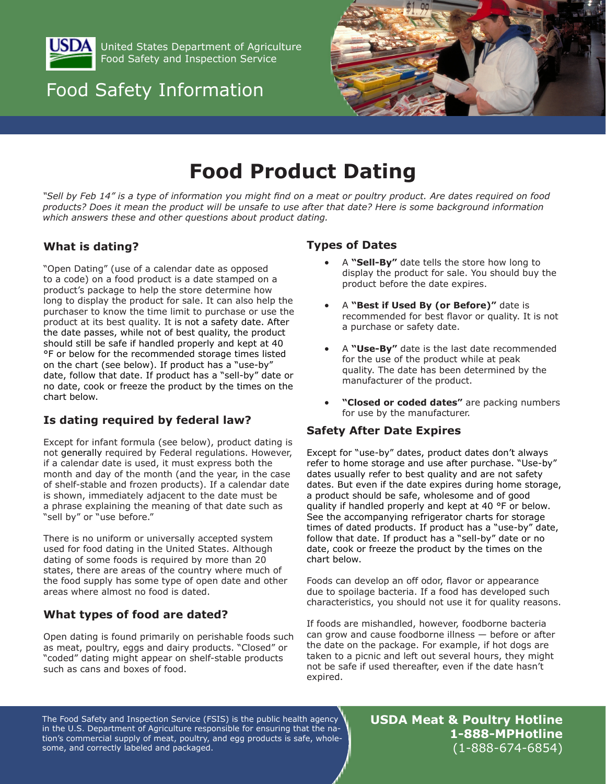

United States Department of Agriculture Food Safety and Inspection Service

## Food Safety Information



# **Food Product Dating**

*"Sell by Feb 14" is a type of information you might find on a meat or poultry product. Are dates required on food products? Does it mean the product will be unsafe to use after that date? Here is some background information which answers these and other questions about product dating.*

## **What is dating?**

"Open Dating" (use of a calendar date as opposed to a code) on a food product is a date stamped on a product's package to help the store determine how long to display the product for sale. It can also help the purchaser to know the time limit to purchase or use the product at its best quality. It is not a safety date. After the date passes, while not of best quality, the product should still be safe if handled properly and kept at 40 °F or below for the recommended storage times listed on the chart (see below). If product has a "use-by" date, follow that date. If product has a "sell-by" date or no date, cook or freeze the product by the times on the chart below.

## **Is dating required by federal law?**

Except for infant formula (see below), product dating is not generally required by Federal regulations. However, if a calendar date is used, it must express both the month and day of the month (and the year, in the case of shelf-stable and frozen products). If a calendar date is shown, immediately adjacent to the date must be a phrase explaining the meaning of that date such as "sell by" or "use before."

There is no uniform or universally accepted system used for food dating in the United States. Although dating of some foods is required by more than 20 states, there are areas of the country where much of the food supply has some type of open date and other areas where almost no food is dated.

## **What types of food are dated?**

Open dating is found primarily on perishable foods such as meat, poultry, eggs and dairy products. "Closed" or "coded" dating might appear on shelf-stable products such as cans and boxes of food.

#### **Types of Dates**

- A "Sell-By" date tells the store how long to display the product for sale. You should buy the product before the date expires.
- A "Best if Used By (or Before)" date is recommended for best flavor or quality. It is not a purchase or safety date.
- A "Use-By" date is the last date recommended for the use of the product while at peak quality. The date has been determined by the manufacturer of the product.
- "Closed or coded dates" are packing numbers for use by the manufacturer.

## **Safety After Date Expires**

Except for "use-by" dates, product dates don't always refer to home storage and use after purchase. "Use-by" dates usually refer to best quality and are not safety dates. But even if the date expires during home storage, a product should be safe, wholesome and of good quality if handled properly and kept at 40 °F or below. See the accompanying refrigerator charts for storage times of dated products. If product has a "use-by" date, follow that date. If product has a "sell-by" date or no date, cook or freeze the product by the times on the chart below.

Foods can develop an off odor, flavor or appearance due to spoilage bacteria. If a food has developed such characteristics, you should not use it for quality reasons.

If foods are mishandled, however, foodborne bacteria can grow and cause foodborne illness — before or after the date on the package. For example, if hot dogs are taken to a picnic and left out several hours, they might not be safe if used thereafter, even if the date hasn't expired.

The Food Safety and Inspection Service (FSIS) is the public health agency in the U.S. Department of Agriculture responsible for ensuring that the nation's commercial supply of meat, poultry, and egg products is safe, wholesome, and correctly labeled and packaged.

**USDA Meat & Poultry Hotline 1-888-MPHotline** (1-888-674-6854)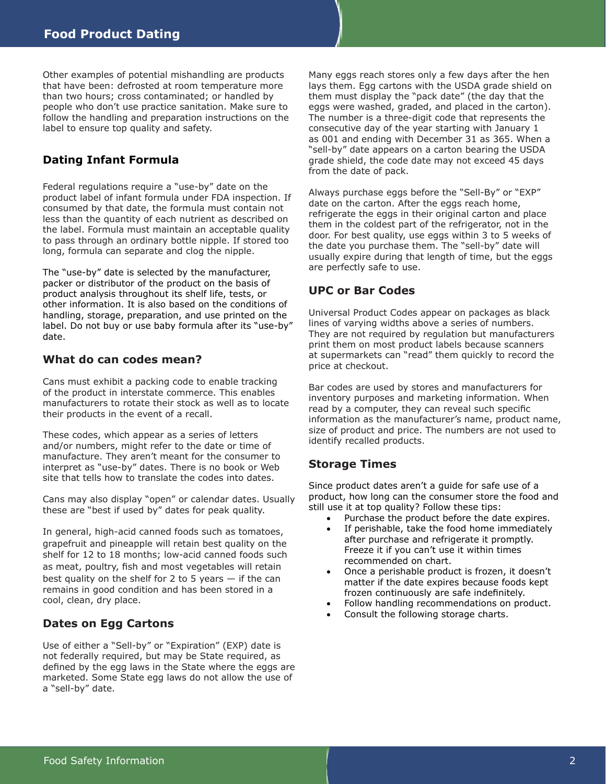Other examples of potential mishandling are products that have been: defrosted at room temperature more than two hours; cross contaminated; or handled by people who don't use practice sanitation. Make sure to follow the handling and preparation instructions on the label to ensure top quality and safety.

#### **Dating Infant Formula**

Federal regulations require a "use-by" date on the product label of infant formula under FDA inspection. If consumed by that date, the formula must contain not less than the quantity of each nutrient as described on the label. Formula must maintain an acceptable quality to pass through an ordinary bottle nipple. If stored too long, formula can separate and clog the nipple.

The "use-by" date is selected by the manufacturer, packer or distributor of the product on the basis of product analysis throughout its shelf life, tests, or other information. It is also based on the conditions of handling, storage, preparation, and use printed on the label. Do not buy or use baby formula after its "use-by" date.

#### **What do can codes mean?**

Cans must exhibit a packing code to enable tracking of the product in interstate commerce. This enables manufacturers to rotate their stock as well as to locate their products in the event of a recall.

These codes, which appear as a series of letters and/or numbers, might refer to the date or time of manufacture. They aren't meant for the consumer to interpret as "use-by" dates. There is no book or Web site that tells how to translate the codes into dates.

Cans may also display "open" or calendar dates. Usually these are "best if used by" dates for peak quality.

In general, high-acid canned foods such as tomatoes, grapefruit and pineapple will retain best quality on the shelf for 12 to 18 months; low-acid canned foods such as meat, poultry, fish and most vegetables will retain best quality on the shelf for 2 to 5 years  $-$  if the can remains in good condition and has been stored in a cool, clean, dry place.

#### **Dates on Egg Cartons**

Use of either a "Sell-by" or "Expiration" (EXP) date is not federally required, but may be State required, as defined by the egg laws in the State where the eggs are marketed. Some State egg laws do not allow the use of a "sell-by" date.

Many eggs reach stores only a few days after the hen lays them. Egg cartons with the USDA grade shield on them must display the "pack date" (the day that the eggs were washed, graded, and placed in the carton). The number is a three-digit code that represents the consecutive day of the year starting with January 1 as 001 and ending with December 31 as 365. When a "sell-by" date appears on a carton bearing the USDA grade shield, the code date may not exceed 45 days from the date of pack.

Always purchase eggs before the "Sell-By" or "EXP" date on the carton. After the eggs reach home, refrigerate the eggs in their original carton and place them in the coldest part of the refrigerator, not in the door. For best quality, use eggs within 3 to 5 weeks of the date you purchase them. The "sell-by" date will usually expire during that length of time, but the eggs are perfectly safe to use.

#### **UPC or Bar Codes**

Universal Product Codes appear on packages as black lines of varying widths above a series of numbers. They are not required by regulation but manufacturers print them on most product labels because scanners at supermarkets can "read" them quickly to record the price at checkout.

Bar codes are used by stores and manufacturers for inventory purposes and marketing information. When read by a computer, they can reveal such specific information as the manufacturer's name, product name, size of product and price. The numbers are not used to identify recalled products.

#### **Storage Times**

Since product dates aren't a guide for safe use of a product, how long can the consumer store the food and still use it at top quality? Follow these tips:

- • Purchase the product before the date expires.
- If perishable, take the food home immediately after purchase and refrigerate it promptly. Freeze it if you can't use it within times recommended on chart.
- Once a perishable product is frozen, it doesn't matter if the date expires because foods kept frozen continuously are safe indefinitely.
- Follow handling recommendations on product.
- Consult the following storage charts.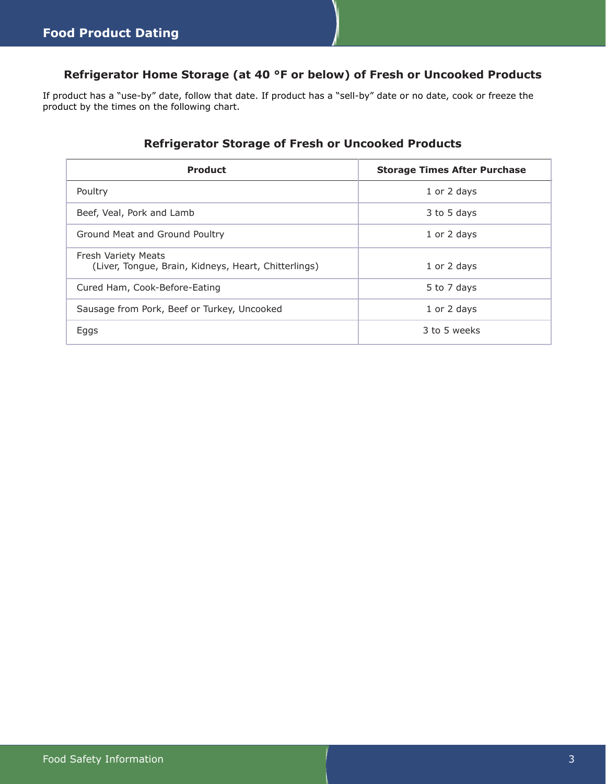## **Refrigerator Home Storage (at 40 °F or below) of Fresh or Uncooked Products**

If product has a "use-by" date, follow that date. If product has a "sell-by" date or no date, cook or freeze the product by the times on the following chart.

## **Refrigerator Storage of Fresh or Uncooked Products**

| <b>Product</b>                                                                     | <b>Storage Times After Purchase</b> |  |
|------------------------------------------------------------------------------------|-------------------------------------|--|
| Poultry                                                                            | 1 or 2 days                         |  |
| Beef, Veal, Pork and Lamb                                                          | 3 to 5 days                         |  |
| Ground Meat and Ground Poultry                                                     | 1 or 2 days                         |  |
| <b>Fresh Variety Meats</b><br>(Liver, Tongue, Brain, Kidneys, Heart, Chitterlings) | 1 or 2 days                         |  |
| Cured Ham, Cook-Before-Eating                                                      | 5 to 7 days                         |  |
| Sausage from Pork, Beef or Turkey, Uncooked                                        | 1 or 2 days                         |  |
| Eggs                                                                               | 3 to 5 weeks                        |  |